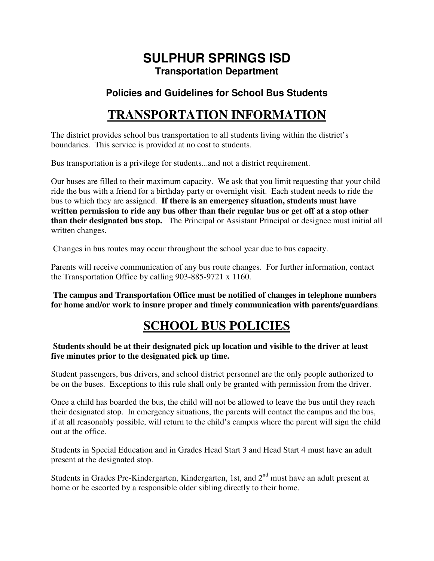### **SULPHUR SPRINGS ISD Transportation Department**

### **Policies and Guidelines for School Bus Students**

## **TRANSPORTATION INFORMATION**

The district provides school bus transportation to all students living within the district's boundaries. This service is provided at no cost to students.

Bus transportation is a privilege for students...and not a district requirement.

Our buses are filled to their maximum capacity. We ask that you limit requesting that your child ride the bus with a friend for a birthday party or overnight visit. Each student needs to ride the bus to which they are assigned. **If there is an emergency situation, students must have written permission to ride any bus other than their regular bus or get off at a stop other than their designated bus stop.** The Principal or Assistant Principal or designee must initial all written changes.

Changes in bus routes may occur throughout the school year due to bus capacity.

Parents will receive communication of any bus route changes. For further information, contact the Transportation Office by calling 903-885-9721 x 1160.

**The campus and Transportation Office must be notified of changes in telephone numbers for home and/or work to insure proper and timely communication with parents/guardians**.

### **SCHOOL BUS POLICIES**

#### **Students should be at their designated pick up location and visible to the driver at least five minutes prior to the designated pick up time.**

Student passengers, bus drivers, and school district personnel are the only people authorized to be on the buses. Exceptions to this rule shall only be granted with permission from the driver.

Once a child has boarded the bus, the child will not be allowed to leave the bus until they reach their designated stop. In emergency situations, the parents will contact the campus and the bus, if at all reasonably possible, will return to the child's campus where the parent will sign the child out at the office.

Students in Special Education and in Grades Head Start 3 and Head Start 4 must have an adult present at the designated stop.

Students in Grades Pre-Kindergarten, Kindergarten, 1st, and 2<sup>nd</sup> must have an adult present at home or be escorted by a responsible older sibling directly to their home.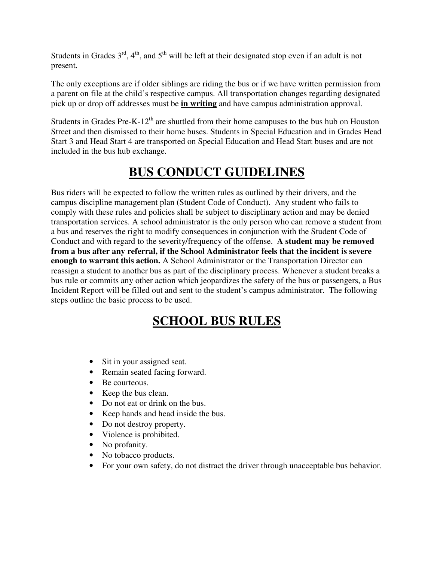Students in Grades  $3^{rd}$ ,  $4^{th}$ , and  $5^{th}$  will be left at their designated stop even if an adult is not present.

The only exceptions are if older siblings are riding the bus or if we have written permission from a parent on file at the child's respective campus. All transportation changes regarding designated pick up or drop off addresses must be **in writing** and have campus administration approval.

Students in Grades Pre-K-12<sup>th</sup> are shuttled from their home campuses to the bus hub on Houston Street and then dismissed to their home buses. Students in Special Education and in Grades Head Start 3 and Head Start 4 are transported on Special Education and Head Start buses and are not included in the bus hub exchange.

# **BUS CONDUCT GUIDELINES**

Bus riders will be expected to follow the written rules as outlined by their drivers, and the campus discipline management plan (Student Code of Conduct). Any student who fails to comply with these rules and policies shall be subject to disciplinary action and may be denied transportation services. A school administrator is the only person who can remove a student from a bus and reserves the right to modify consequences in conjunction with the Student Code of Conduct and with regard to the severity/frequency of the offense. **A student may be removed from a bus after any referral, if the School Administrator feels that the incident is severe enough to warrant this action.** A School Administrator or the Transportation Director can reassign a student to another bus as part of the disciplinary process. Whenever a student breaks a bus rule or commits any other action which jeopardizes the safety of the bus or passengers, a Bus Incident Report will be filled out and sent to the student's campus administrator. The following steps outline the basic process to be used.

## **SCHOOL BUS RULES**

- Sit in your assigned seat.
- Remain seated facing forward.
- Be courteous.
- Keep the bus clean.
- Do not eat or drink on the bus.
- Keep hands and head inside the bus.
- Do not destroy property.
- Violence is prohibited.
- No profanity.
- No tobacco products.
- For your own safety, do not distract the driver through unacceptable bus behavior.